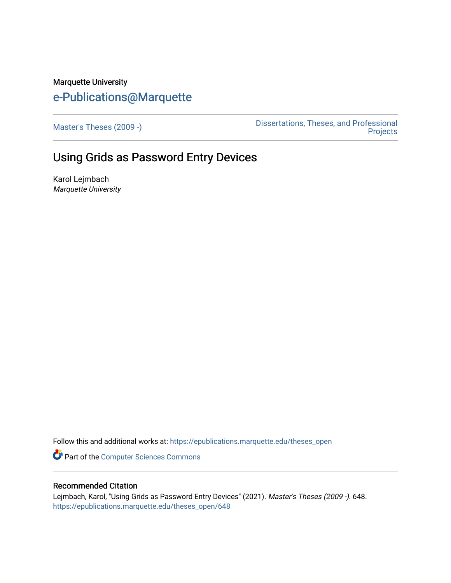# Marquette University [e-Publications@Marquette](https://epublications.marquette.edu/)

[Master's Theses \(2009 -\)](https://epublications.marquette.edu/theses_open) [Dissertations, Theses, and Professional](https://epublications.marquette.edu/diss_theses)  [Projects](https://epublications.marquette.edu/diss_theses) 

# Using Grids as Password Entry Devices

Karol Lejmbach Marquette University

Follow this and additional works at: [https://epublications.marquette.edu/theses\\_open](https://epublications.marquette.edu/theses_open?utm_source=epublications.marquette.edu%2Ftheses_open%2F648&utm_medium=PDF&utm_campaign=PDFCoverPages) 

Part of the [Computer Sciences Commons](http://network.bepress.com/hgg/discipline/142?utm_source=epublications.marquette.edu%2Ftheses_open%2F648&utm_medium=PDF&utm_campaign=PDFCoverPages)

## Recommended Citation

Lejmbach, Karol, "Using Grids as Password Entry Devices" (2021). Master's Theses (2009 -). 648. [https://epublications.marquette.edu/theses\\_open/648](https://epublications.marquette.edu/theses_open/648?utm_source=epublications.marquette.edu%2Ftheses_open%2F648&utm_medium=PDF&utm_campaign=PDFCoverPages)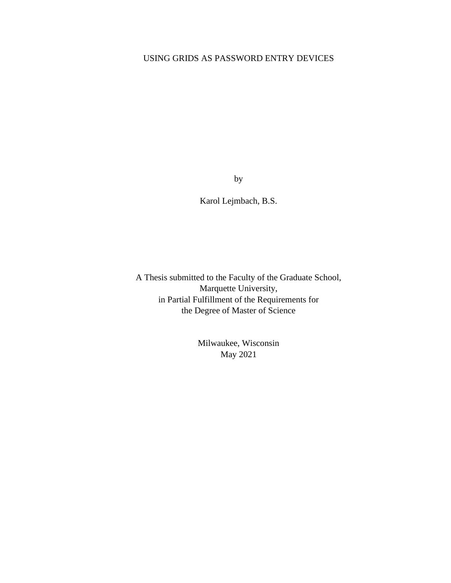# USING GRIDS AS PASSWORD ENTRY DEVICES

by

Karol Lejmbach, B.S.

A Thesis submitted to the Faculty of the Graduate School, Marquette University, in Partial Fulfillment of the Requirements for the Degree of Master of Science

> Milwaukee, Wisconsin May 2021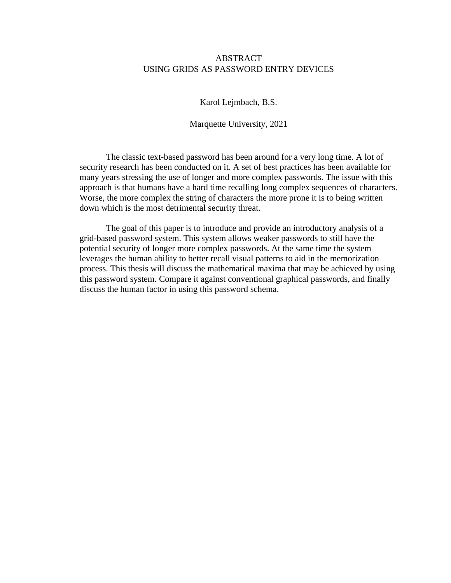## ABSTRACT USING GRIDS AS PASSWORD ENTRY DEVICES

Karol Lejmbach, B.S.

Marquette University, 2021

The classic text-based password has been around for a very long time. A lot of security research has been conducted on it. A set of best practices has been available for many years stressing the use of longer and more complex passwords. The issue with this approach is that humans have a hard time recalling long complex sequences of characters. Worse, the more complex the string of characters the more prone it is to being written down which is the most detrimental security threat.

The goal of this paper is to introduce and provide an introductory analysis of a grid-based password system. This system allows weaker passwords to still have the potential security of longer more complex passwords. At the same time the system leverages the human ability to better recall visual patterns to aid in the memorization process. This thesis will discuss the mathematical maxima that may be achieved by using this password system. Compare it against conventional graphical passwords, and finally discuss the human factor in using this password schema.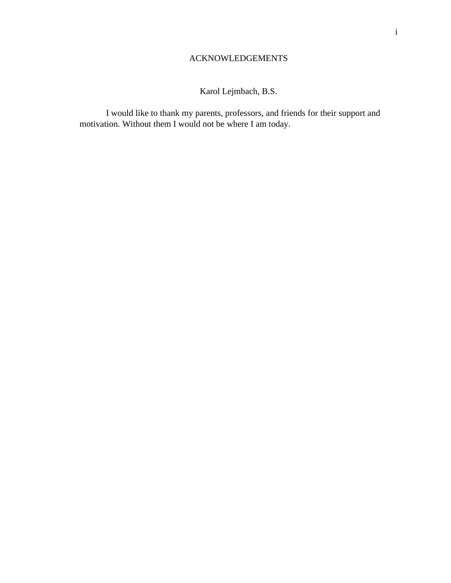# ACKNOWLEDGEMENTS

Karol Lejmbach, B.S.

<span id="page-3-0"></span>I would like to thank my parents, professors, and friends for their support and motivation. Without them I would not be where I am today.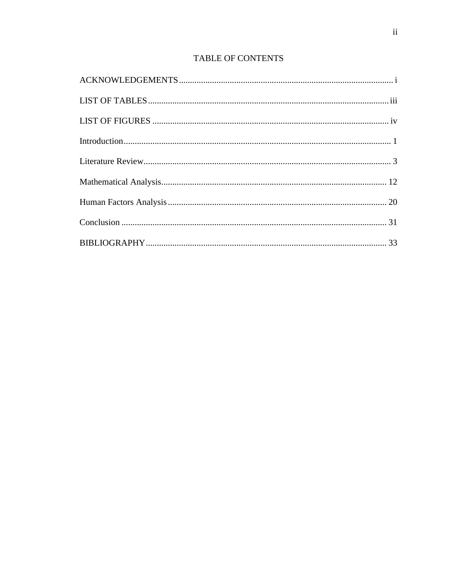# TABLE OF CONTENTS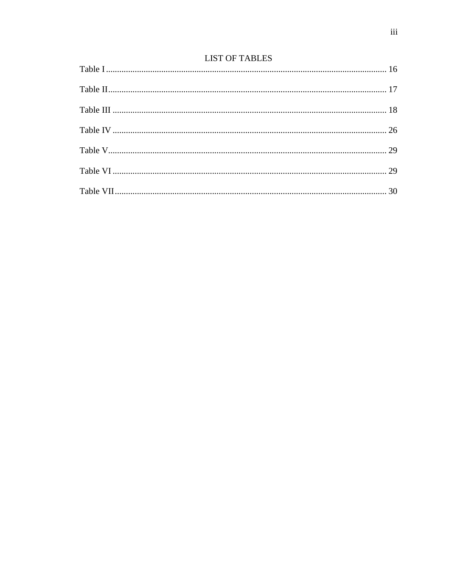# **LIST OF TABLES**

<span id="page-5-0"></span>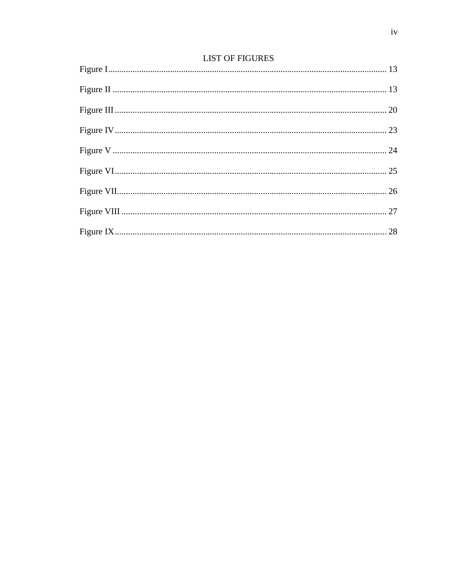# **LIST OF FIGURES**

<span id="page-6-0"></span>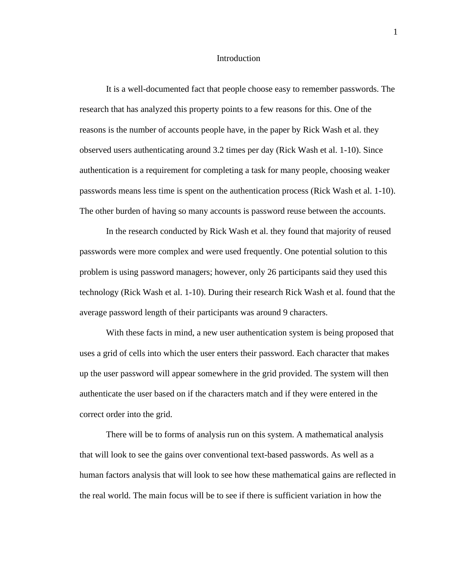#### Introduction

<span id="page-7-0"></span>It is a well-documented fact that people choose easy to remember passwords. The research that has analyzed this property points to a few reasons for this. One of the reasons is the number of accounts people have, in the paper by Rick Wash et al. they observed users authenticating around 3.2 times per day (Rick Wash et al. 1-10). Since authentication is a requirement for completing a task for many people, choosing weaker passwords means less time is spent on the authentication process (Rick Wash et al. 1-10). The other burden of having so many accounts is password reuse between the accounts.

In the research conducted by Rick Wash et al. they found that majority of reused passwords were more complex and were used frequently. One potential solution to this problem is using password managers; however, only 26 participants said they used this technology (Rick Wash et al. 1-10). During their research Rick Wash et al. found that the average password length of their participants was around 9 characters.

With these facts in mind, a new user authentication system is being proposed that uses a grid of cells into which the user enters their password. Each character that makes up the user password will appear somewhere in the grid provided. The system will then authenticate the user based on if the characters match and if they were entered in the correct order into the grid.

There will be to forms of analysis run on this system. A mathematical analysis that will look to see the gains over conventional text-based passwords. As well as a human factors analysis that will look to see how these mathematical gains are reflected in the real world. The main focus will be to see if there is sufficient variation in how the

1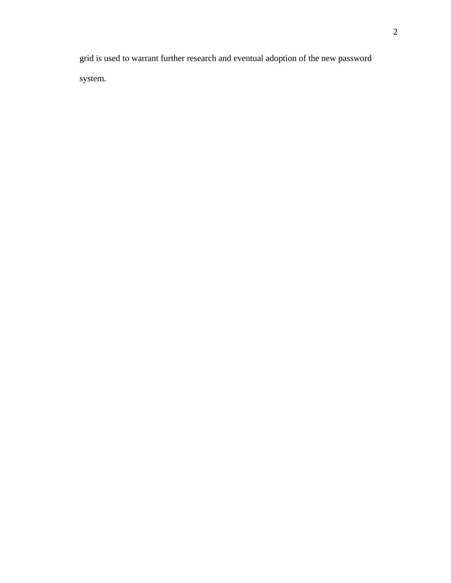grid is used to warrant further research and eventual adoption of the new password system.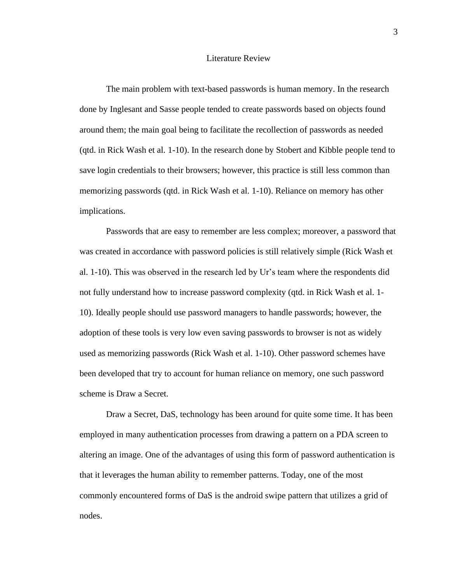#### Literature Review

<span id="page-9-0"></span>The main problem with text-based passwords is human memory. In the research done by Inglesant and Sasse people tended to create passwords based on objects found around them; the main goal being to facilitate the recollection of passwords as needed (qtd. in Rick Wash et al. 1-10). In the research done by Stobert and Kibble people tend to save login credentials to their browsers; however, this practice is still less common than memorizing passwords (qtd. in Rick Wash et al. 1-10). Reliance on memory has other implications.

Passwords that are easy to remember are less complex; moreover, a password that was created in accordance with password policies is still relatively simple (Rick Wash et al. 1-10). This was observed in the research led by Ur's team where the respondents did not fully understand how to increase password complexity (qtd. in Rick Wash et al. 1- 10). Ideally people should use password managers to handle passwords; however, the adoption of these tools is very low even saving passwords to browser is not as widely used as memorizing passwords (Rick Wash et al. 1-10). Other password schemes have been developed that try to account for human reliance on memory, one such password scheme is Draw a Secret.

Draw a Secret, DaS, technology has been around for quite some time. It has been employed in many authentication processes from drawing a pattern on a PDA screen to altering an image. One of the advantages of using this form of password authentication is that it leverages the human ability to remember patterns. Today, one of the most commonly encountered forms of DaS is the android swipe pattern that utilizes a grid of nodes.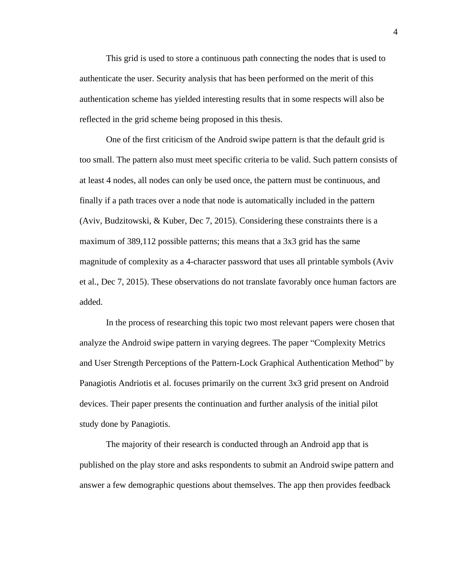This grid is used to store a continuous path connecting the nodes that is used to authenticate the user. Security analysis that has been performed on the merit of this authentication scheme has yielded interesting results that in some respects will also be reflected in the grid scheme being proposed in this thesis.

One of the first criticism of the Android swipe pattern is that the default grid is too small. The pattern also must meet specific criteria to be valid. Such pattern consists of at least 4 nodes, all nodes can only be used once, the pattern must be continuous, and finally if a path traces over a node that node is automatically included in the pattern (Aviv, Budzitowski, & Kuber, Dec 7, 2015). Considering these constraints there is a maximum of 389,112 possible patterns; this means that a 3x3 grid has the same magnitude of complexity as a 4-character password that uses all printable symbols (Aviv et al., Dec 7, 2015). These observations do not translate favorably once human factors are added.

In the process of researching this topic two most relevant papers were chosen that analyze the Android swipe pattern in varying degrees. The paper "Complexity Metrics and User Strength Perceptions of the Pattern-Lock Graphical Authentication Method" by Panagiotis Andriotis et al. focuses primarily on the current 3x3 grid present on Android devices. Their paper presents the continuation and further analysis of the initial pilot study done by Panagiotis.

The majority of their research is conducted through an Android app that is published on the play store and asks respondents to submit an Android swipe pattern and answer a few demographic questions about themselves. The app then provides feedback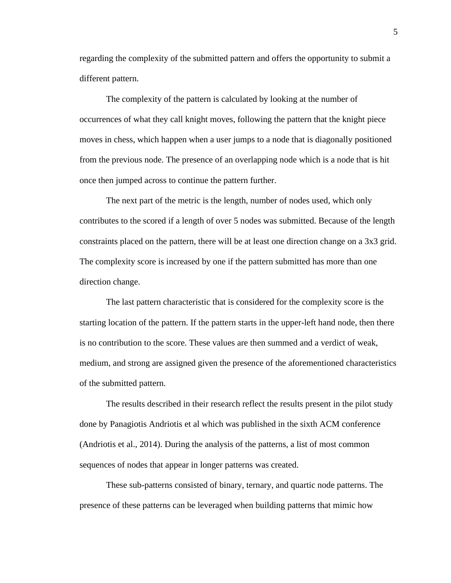regarding the complexity of the submitted pattern and offers the opportunity to submit a different pattern.

The complexity of the pattern is calculated by looking at the number of occurrences of what they call knight moves, following the pattern that the knight piece moves in chess, which happen when a user jumps to a node that is diagonally positioned from the previous node. The presence of an overlapping node which is a node that is hit once then jumped across to continue the pattern further.

The next part of the metric is the length, number of nodes used, which only contributes to the scored if a length of over 5 nodes was submitted. Because of the length constraints placed on the pattern, there will be at least one direction change on a 3x3 grid. The complexity score is increased by one if the pattern submitted has more than one direction change.

The last pattern characteristic that is considered for the complexity score is the starting location of the pattern. If the pattern starts in the upper-left hand node, then there is no contribution to the score. These values are then summed and a verdict of weak, medium, and strong are assigned given the presence of the aforementioned characteristics of the submitted pattern.

The results described in their research reflect the results present in the pilot study done by Panagiotis Andriotis et al which was published in the sixth ACM conference (Andriotis et al., 2014). During the analysis of the patterns, a list of most common sequences of nodes that appear in longer patterns was created.

These sub-patterns consisted of binary, ternary, and quartic node patterns. The presence of these patterns can be leveraged when building patterns that mimic how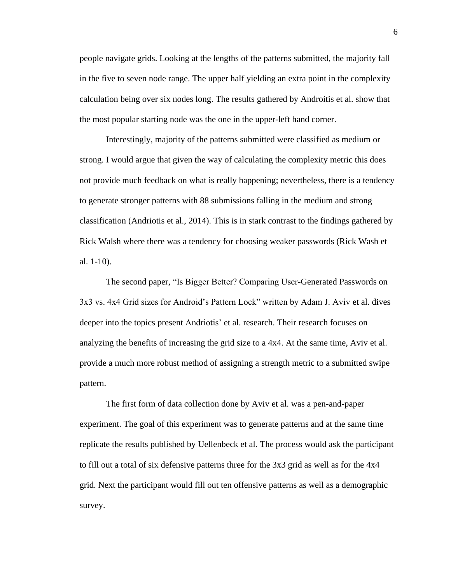people navigate grids. Looking at the lengths of the patterns submitted, the majority fall in the five to seven node range. The upper half yielding an extra point in the complexity calculation being over six nodes long. The results gathered by Androitis et al. show that the most popular starting node was the one in the upper-left hand corner.

Interestingly, majority of the patterns submitted were classified as medium or strong. I would argue that given the way of calculating the complexity metric this does not provide much feedback on what is really happening; nevertheless, there is a tendency to generate stronger patterns with 88 submissions falling in the medium and strong classification (Andriotis et al., 2014). This is in stark contrast to the findings gathered by Rick Walsh where there was a tendency for choosing weaker passwords (Rick Wash et al. 1-10).

The second paper, "Is Bigger Better? Comparing User-Generated Passwords on 3x3 vs. 4x4 Grid sizes for Android's Pattern Lock" written by Adam J. Aviv et al. dives deeper into the topics present Andriotis' et al. research. Their research focuses on analyzing the benefits of increasing the grid size to a 4x4. At the same time, Aviv et al. provide a much more robust method of assigning a strength metric to a submitted swipe pattern.

The first form of data collection done by Aviv et al. was a pen-and-paper experiment. The goal of this experiment was to generate patterns and at the same time replicate the results published by Uellenbeck et al. The process would ask the participant to fill out a total of six defensive patterns three for the 3x3 grid as well as for the 4x4 grid. Next the participant would fill out ten offensive patterns as well as a demographic survey.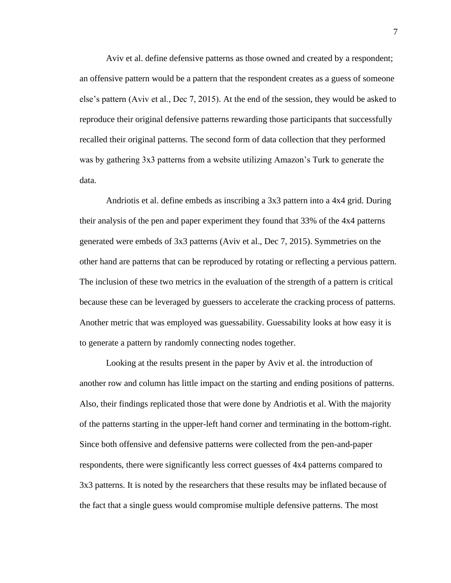Aviv et al. define defensive patterns as those owned and created by a respondent; an offensive pattern would be a pattern that the respondent creates as a guess of someone else's pattern (Aviv et al., Dec 7, 2015). At the end of the session, they would be asked to reproduce their original defensive patterns rewarding those participants that successfully recalled their original patterns. The second form of data collection that they performed was by gathering 3x3 patterns from a website utilizing Amazon's Turk to generate the data.

Andriotis et al. define embeds as inscribing a 3x3 pattern into a 4x4 grid. During their analysis of the pen and paper experiment they found that 33% of the 4x4 patterns generated were embeds of 3x3 patterns (Aviv et al., Dec 7, 2015). Symmetries on the other hand are patterns that can be reproduced by rotating or reflecting a pervious pattern. The inclusion of these two metrics in the evaluation of the strength of a pattern is critical because these can be leveraged by guessers to accelerate the cracking process of patterns. Another metric that was employed was guessability. Guessability looks at how easy it is to generate a pattern by randomly connecting nodes together.

Looking at the results present in the paper by Aviv et al. the introduction of another row and column has little impact on the starting and ending positions of patterns. Also, their findings replicated those that were done by Andriotis et al. With the majority of the patterns starting in the upper-left hand corner and terminating in the bottom-right. Since both offensive and defensive patterns were collected from the pen-and-paper respondents, there were significantly less correct guesses of 4x4 patterns compared to 3x3 patterns. It is noted by the researchers that these results may be inflated because of the fact that a single guess would compromise multiple defensive patterns. The most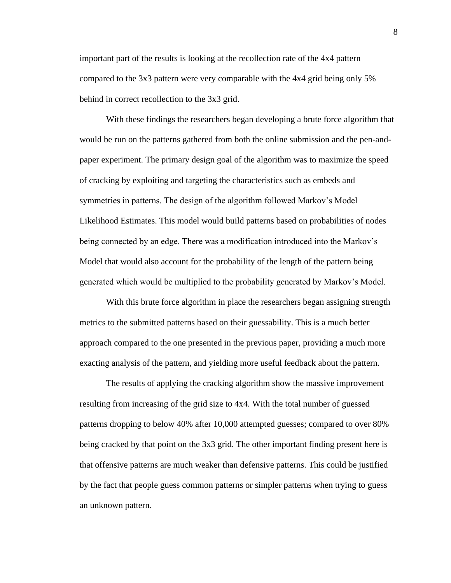important part of the results is looking at the recollection rate of the 4x4 pattern compared to the 3x3 pattern were very comparable with the 4x4 grid being only 5% behind in correct recollection to the 3x3 grid.

With these findings the researchers began developing a brute force algorithm that would be run on the patterns gathered from both the online submission and the pen-andpaper experiment. The primary design goal of the algorithm was to maximize the speed of cracking by exploiting and targeting the characteristics such as embeds and symmetries in patterns. The design of the algorithm followed Markov's Model Likelihood Estimates. This model would build patterns based on probabilities of nodes being connected by an edge. There was a modification introduced into the Markov's Model that would also account for the probability of the length of the pattern being generated which would be multiplied to the probability generated by Markov's Model.

With this brute force algorithm in place the researchers began assigning strength metrics to the submitted patterns based on their guessability. This is a much better approach compared to the one presented in the previous paper, providing a much more exacting analysis of the pattern, and yielding more useful feedback about the pattern.

The results of applying the cracking algorithm show the massive improvement resulting from increasing of the grid size to 4x4. With the total number of guessed patterns dropping to below 40% after 10,000 attempted guesses; compared to over 80% being cracked by that point on the 3x3 grid. The other important finding present here is that offensive patterns are much weaker than defensive patterns. This could be justified by the fact that people guess common patterns or simpler patterns when trying to guess an unknown pattern.

8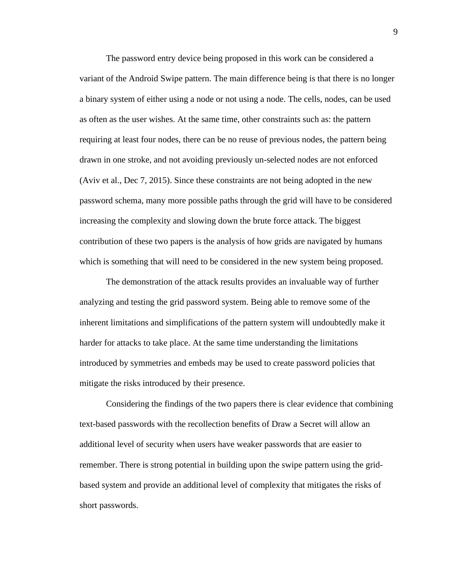The password entry device being proposed in this work can be considered a variant of the Android Swipe pattern. The main difference being is that there is no longer a binary system of either using a node or not using a node. The cells, nodes, can be used as often as the user wishes. At the same time, other constraints such as: the pattern requiring at least four nodes, there can be no reuse of previous nodes, the pattern being drawn in one stroke, and not avoiding previously un-selected nodes are not enforced (Aviv et al., Dec 7, 2015). Since these constraints are not being adopted in the new password schema, many more possible paths through the grid will have to be considered increasing the complexity and slowing down the brute force attack. The biggest contribution of these two papers is the analysis of how grids are navigated by humans which is something that will need to be considered in the new system being proposed.

The demonstration of the attack results provides an invaluable way of further analyzing and testing the grid password system. Being able to remove some of the inherent limitations and simplifications of the pattern system will undoubtedly make it harder for attacks to take place. At the same time understanding the limitations introduced by symmetries and embeds may be used to create password policies that mitigate the risks introduced by their presence.

Considering the findings of the two papers there is clear evidence that combining text-based passwords with the recollection benefits of Draw a Secret will allow an additional level of security when users have weaker passwords that are easier to remember. There is strong potential in building upon the swipe pattern using the gridbased system and provide an additional level of complexity that mitigates the risks of short passwords.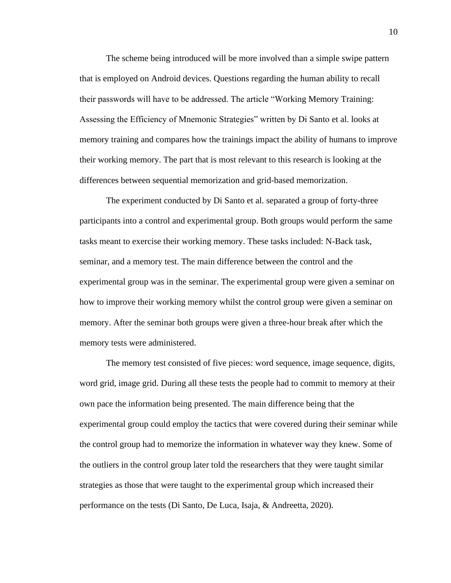The scheme being introduced will be more involved than a simple swipe pattern that is employed on Android devices. Questions regarding the human ability to recall their passwords will have to be addressed. The article "Working Memory Training: Assessing the Efficiency of Mnemonic Strategies" written by Di Santo et al. looks at memory training and compares how the trainings impact the ability of humans to improve their working memory. The part that is most relevant to this research is looking at the differences between sequential memorization and grid-based memorization.

The experiment conducted by Di Santo et al. separated a group of forty-three participants into a control and experimental group. Both groups would perform the same tasks meant to exercise their working memory. These tasks included: N-Back task, seminar, and a memory test. The main difference between the control and the experimental group was in the seminar. The experimental group were given a seminar on how to improve their working memory whilst the control group were given a seminar on memory. After the seminar both groups were given a three-hour break after which the memory tests were administered.

The memory test consisted of five pieces: word sequence, image sequence, digits, word grid, image grid. During all these tests the people had to commit to memory at their own pace the information being presented. The main difference being that the experimental group could employ the tactics that were covered during their seminar while the control group had to memorize the information in whatever way they knew. Some of the outliers in the control group later told the researchers that they were taught similar strategies as those that were taught to the experimental group which increased their performance on the tests (Di Santo, De Luca, Isaja, & Andreetta, 2020).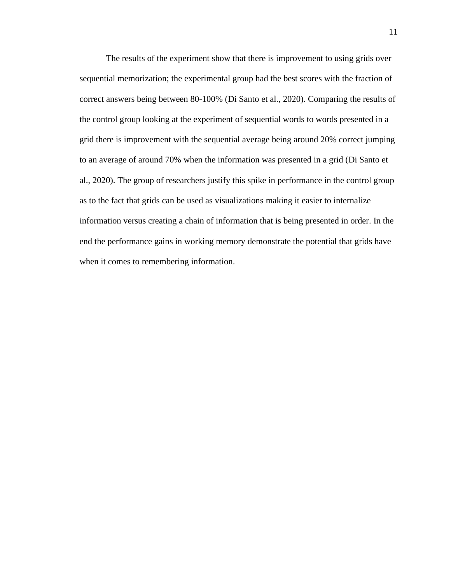The results of the experiment show that there is improvement to using grids over sequential memorization; the experimental group had the best scores with the fraction of correct answers being between 80-100% (Di Santo et al., 2020). Comparing the results of the control group looking at the experiment of sequential words to words presented in a grid there is improvement with the sequential average being around 20% correct jumping to an average of around 70% when the information was presented in a grid (Di Santo et al., 2020). The group of researchers justify this spike in performance in the control group as to the fact that grids can be used as visualizations making it easier to internalize information versus creating a chain of information that is being presented in order. In the end the performance gains in working memory demonstrate the potential that grids have when it comes to remembering information.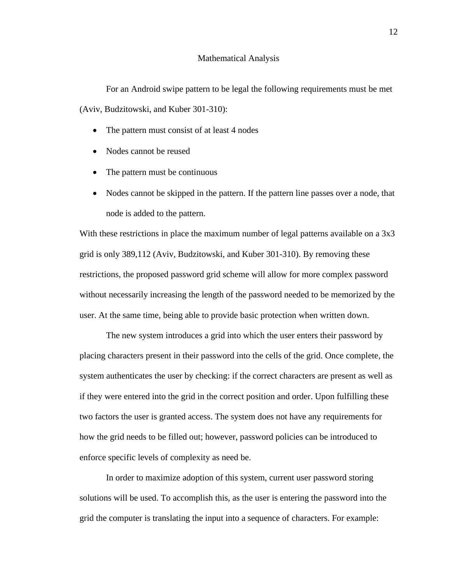#### Mathematical Analysis

<span id="page-18-0"></span>For an Android swipe pattern to be legal the following requirements must be met (Aviv, Budzitowski, and Kuber 301-310):

- The pattern must consist of at least 4 nodes
- Nodes cannot be reused
- The pattern must be continuous
- Nodes cannot be skipped in the pattern. If the pattern line passes over a node, that node is added to the pattern.

With these restrictions in place the maximum number of legal patterns available on a 3x3 grid is only 389,112 (Aviv, Budzitowski, and Kuber 301-310). By removing these restrictions, the proposed password grid scheme will allow for more complex password without necessarily increasing the length of the password needed to be memorized by the user. At the same time, being able to provide basic protection when written down.

The new system introduces a grid into which the user enters their password by placing characters present in their password into the cells of the grid. Once complete, the system authenticates the user by checking: if the correct characters are present as well as if they were entered into the grid in the correct position and order. Upon fulfilling these two factors the user is granted access. The system does not have any requirements for how the grid needs to be filled out; however, password policies can be introduced to enforce specific levels of complexity as need be.

In order to maximize adoption of this system, current user password storing solutions will be used. To accomplish this, as the user is entering the password into the grid the computer is translating the input into a sequence of characters. For example: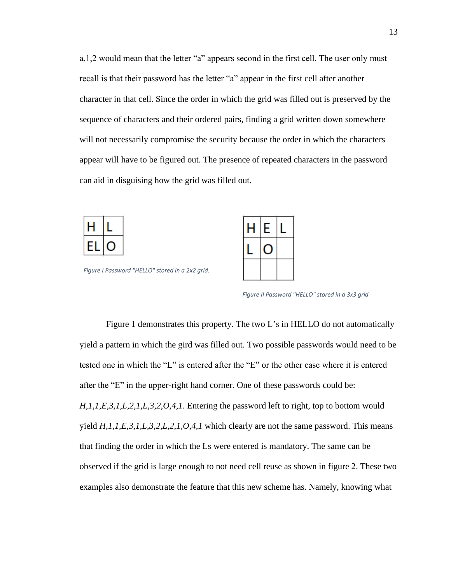a,1,2 would mean that the letter "a" appears second in the first cell. The user only must recall is that their password has the letter "a" appear in the first cell after another character in that cell. Since the order in which the grid was filled out is preserved by the sequence of characters and their ordered pairs, finding a grid written down somewhere will not necessarily compromise the security because the order in which the characters appear will have to be figured out. The presence of repeated characters in the password can aid in disguising how the grid was filled out.



<span id="page-19-0"></span>*Figure I Password "HELLO" stored in a 2x2 grid.*



<span id="page-19-1"></span>*Figure II Password "HELLO" stored in a 3x3 grid*

Figure 1 demonstrates this property. The two L's in HELLO do not automatically yield a pattern in which the gird was filled out. Two possible passwords would need to be tested one in which the "L" is entered after the "E" or the other case where it is entered after the "E" in the upper-right hand corner. One of these passwords could be: *H,1,1,E,3,1,L,2,1,L,3,2,O,4,1*. Entering the password left to right, top to bottom would yield *H,1,1,E,3,1,L,3,2,L,2,1,O,4,1* which clearly are not the same password. This means that finding the order in which the Ls were entered is mandatory. The same can be observed if the grid is large enough to not need cell reuse as shown in figure 2. These two examples also demonstrate the feature that this new scheme has. Namely, knowing what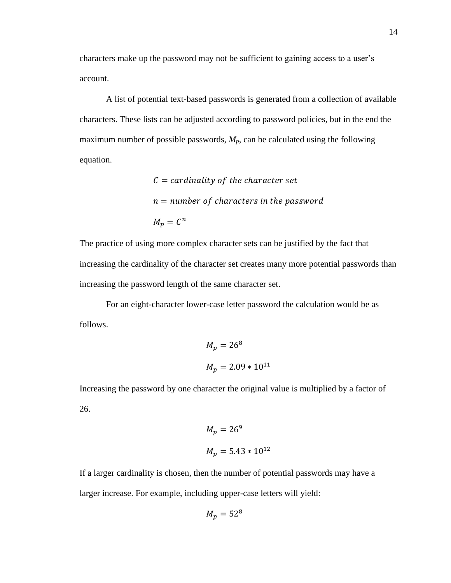characters make up the password may not be sufficient to gaining access to a user's account.

A list of potential text-based passwords is generated from a collection of available characters. These lists can be adjusted according to password policies, but in the end the maximum number of possible passwords, *Mp*, can be calculated using the following equation.

> $C = cardinality of the character set$  $n =$  number of characters in the password  $M_p = C^n$

The practice of using more complex character sets can be justified by the fact that increasing the cardinality of the character set creates many more potential passwords than increasing the password length of the same character set.

For an eight-character lower-case letter password the calculation would be as follows.

$$
M_p = 268
$$
  

$$
M_p = 2.09 * 1011
$$

Increasing the password by one character the original value is multiplied by a factor of 26.

$$
M_p = 269
$$
  

$$
M_p = 5.43 \times 10^{12}
$$

If a larger cardinality is chosen, then the number of potential passwords may have a larger increase. For example, including upper-case letters will yield:

$$
M_p=52^8
$$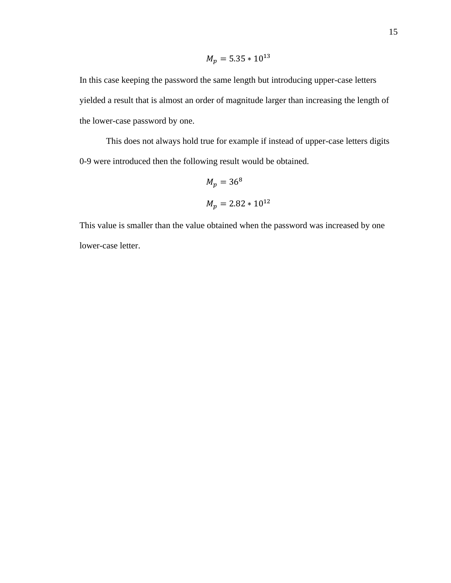$$
M_p = 5.35 * 10^{13}
$$

In this case keeping the password the same length but introducing upper-case letters yielded a result that is almost an order of magnitude larger than increasing the length of the lower-case password by one.

This does not always hold true for example if instead of upper-case letters digits 0-9 were introduced then the following result would be obtained.

$$
M_p = 36^8
$$
  

$$
M_p = 2.82 \times 10^{12}
$$

This value is smaller than the value obtained when the password was increased by one lower-case letter.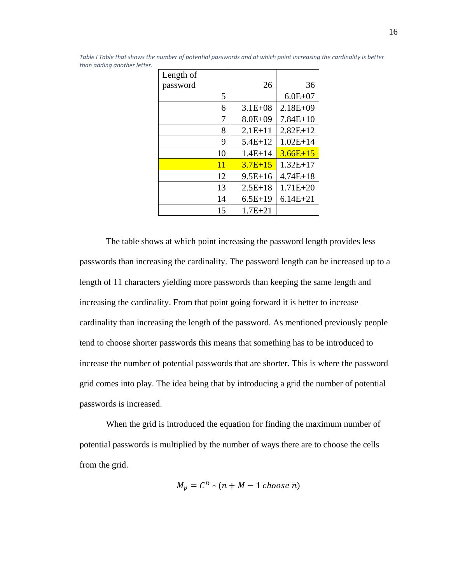| Length of |             |              |
|-----------|-------------|--------------|
| password  | 26          | 36           |
| 5         |             | $6.0E + 07$  |
| 6         | $3.1E + 08$ | $2.18E + 09$ |
| 7         | $8.0E + 09$ | $7.84E+10$   |
| 8         | $2.1E+11$   | $2.82E+12$   |
| 9         | $5.4E+12$   | $1.02E+14$   |
| 10        | $1.4E + 14$ | $3.66E+15$   |
| 11        | $3.7E + 15$ | $1.32E+17$   |
| 12        | $9.5E + 16$ | $4.74E + 18$ |
| 13        | $2.5E+18$   | $1.71E + 20$ |
| 14        | $6.5E+19$   | $6.14E + 21$ |
| 15        | $1.7E + 21$ |              |

<span id="page-22-0"></span>*Table I Table that shows the number of potential passwords and at which point increasing the cardinality is better than adding another letter.*

The table shows at which point increasing the password length provides less passwords than increasing the cardinality. The password length can be increased up to a length of 11 characters yielding more passwords than keeping the same length and increasing the cardinality. From that point going forward it is better to increase cardinality than increasing the length of the password. As mentioned previously people tend to choose shorter passwords this means that something has to be introduced to increase the number of potential passwords that are shorter. This is where the password grid comes into play. The idea being that by introducing a grid the number of potential passwords is increased.

When the grid is introduced the equation for finding the maximum number of potential passwords is multiplied by the number of ways there are to choose the cells from the grid.

$$
M_p = C^n * (n + M - 1 \text{ choose } n)
$$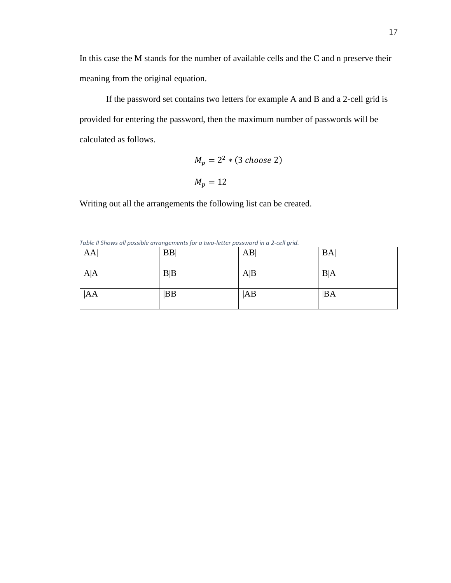In this case the M stands for the number of available cells and the C and n preserve their meaning from the original equation.

If the password set contains two letters for example A and B and a 2-cell grid is provided for entering the password, then the maximum number of passwords will be calculated as follows.

$$
M_p = 2^2 * (3 \text{ choose } 2)
$$

$$
M_p = 12
$$

Writing out all the arrangements the following list can be created.

| AA  | <b>BB</b> | AB  | <b>BA</b> |
|-----|-----------|-----|-----------|
| A A | B B       | A B | B A       |
| AA  | BB        | AB  | BA        |

<span id="page-23-0"></span>*Table II Shows all possible arrangements for a two-letter password in a 2-cell grid.*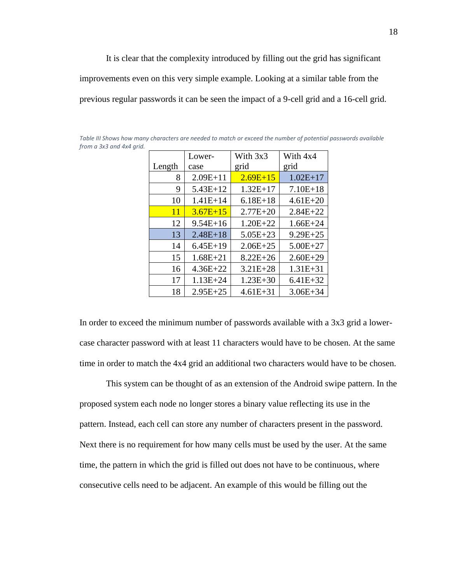It is clear that the complexity introduced by filling out the grid has significant improvements even on this very simple example. Looking at a similar table from the previous regular passwords it can be seen the impact of a 9-cell grid and a 16-cell grid.

|        | Lower-       | With 3x3     | With 4x4     |
|--------|--------------|--------------|--------------|
| Length | case         | grid         | grid         |
| 8      | $2.09E+11$   | $2.69E + 15$ | $1.02E+17$   |
| 9      | $5.43E+12$   | $1.32E+17$   | $7.10E+18$   |
| 10     | $1.41E+14$   | $6.18E+18$   | $4.61E + 20$ |
| 11     | $3.67E + 15$ | $2.77E + 20$ | $2.84E + 22$ |
| 12     | $9.54E + 16$ | $1.20E + 22$ | $1.66E + 24$ |
| 13     | $2.48E + 18$ | $5.05E + 23$ | $9.29E + 25$ |
| 14     | $6.45E+19$   | $2.06E + 25$ | $5.00E + 27$ |
| 15     | $1.68E + 21$ | $8.22E + 26$ | $2.60E + 29$ |
| 16     | $4.36E + 22$ | $3.21E + 28$ | $1.31E + 31$ |
| 17     | $1.13E + 24$ | $1.23E + 30$ | $6.41E + 32$ |
| 18     | $2.95E + 25$ | $4.61E + 31$ | $3.06E + 34$ |

<span id="page-24-0"></span>*Table III Shows how many characters are needed to match or exceed the number of potential passwords available from a 3x3 and 4x4 grid.*

In order to exceed the minimum number of passwords available with a 3x3 grid a lowercase character password with at least 11 characters would have to be chosen. At the same time in order to match the 4x4 grid an additional two characters would have to be chosen.

This system can be thought of as an extension of the Android swipe pattern. In the proposed system each node no longer stores a binary value reflecting its use in the pattern. Instead, each cell can store any number of characters present in the password. Next there is no requirement for how many cells must be used by the user. At the same time, the pattern in which the grid is filled out does not have to be continuous, where consecutive cells need to be adjacent. An example of this would be filling out the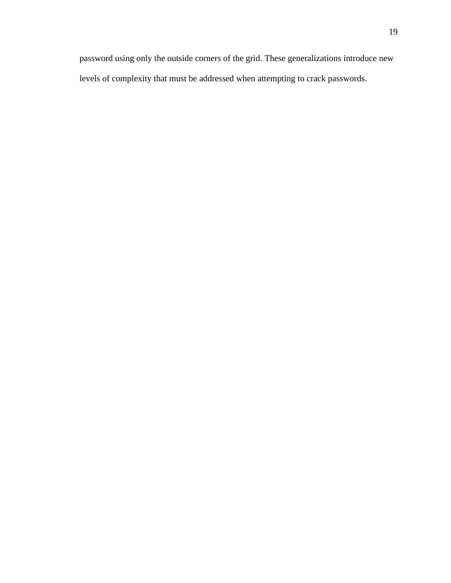password using only the outside corners of the grid. These generalizations introduce new levels of complexity that must be addressed when attempting to crack passwords.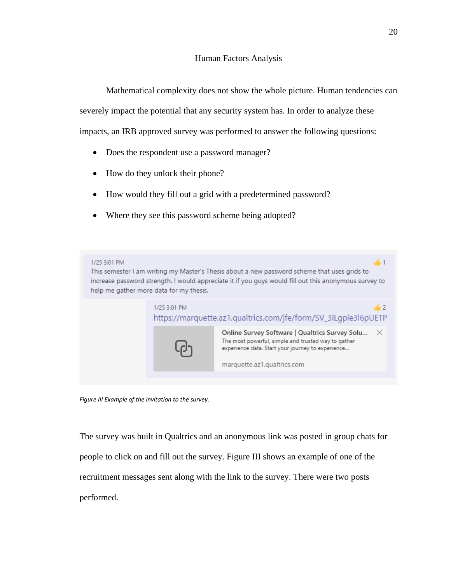<span id="page-26-0"></span>Mathematical complexity does not show the whole picture. Human tendencies can

severely impact the potential that any security system has. In order to analyze these

impacts, an IRB approved survey was performed to answer the following questions:

- Does the respondent use a password manager?
- How do they unlock their phone?
- How would they fill out a grid with a predetermined password?
- Where they see this password scheme being adopted?



*Figure III Example of the invitation to the survey.*

<span id="page-26-1"></span>The survey was built in Qualtrics and an anonymous link was posted in group chats for people to click on and fill out the survey. Figure III shows an example of one of the recruitment messages sent along with the link to the survey. There were two posts performed.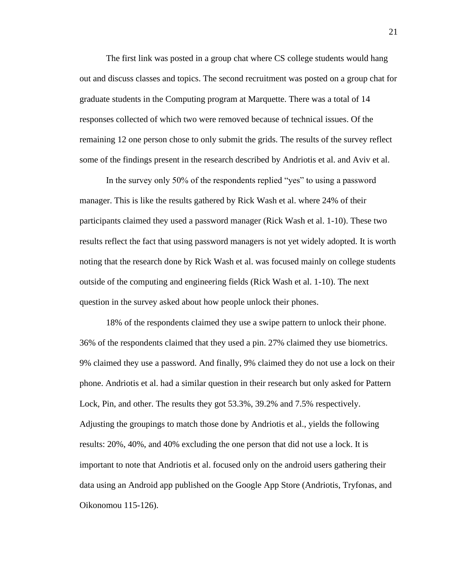The first link was posted in a group chat where CS college students would hang out and discuss classes and topics. The second recruitment was posted on a group chat for graduate students in the Computing program at Marquette. There was a total of 14 responses collected of which two were removed because of technical issues. Of the remaining 12 one person chose to only submit the grids. The results of the survey reflect some of the findings present in the research described by Andriotis et al. and Aviv et al.

In the survey only 50% of the respondents replied "yes" to using a password manager. This is like the results gathered by Rick Wash et al. where 24% of their participants claimed they used a password manager (Rick Wash et al. 1-10). These two results reflect the fact that using password managers is not yet widely adopted. It is worth noting that the research done by Rick Wash et al. was focused mainly on college students outside of the computing and engineering fields (Rick Wash et al. 1-10). The next question in the survey asked about how people unlock their phones.

18% of the respondents claimed they use a swipe pattern to unlock their phone. 36% of the respondents claimed that they used a pin. 27% claimed they use biometrics. 9% claimed they use a password. And finally, 9% claimed they do not use a lock on their phone. Andriotis et al. had a similar question in their research but only asked for Pattern Lock, Pin, and other. The results they got 53.3%, 39.2% and 7.5% respectively. Adjusting the groupings to match those done by Andriotis et al., yields the following results: 20%, 40%, and 40% excluding the one person that did not use a lock. It is important to note that Andriotis et al. focused only on the android users gathering their data using an Android app published on the Google App Store (Andriotis, Tryfonas, and Oikonomou 115-126).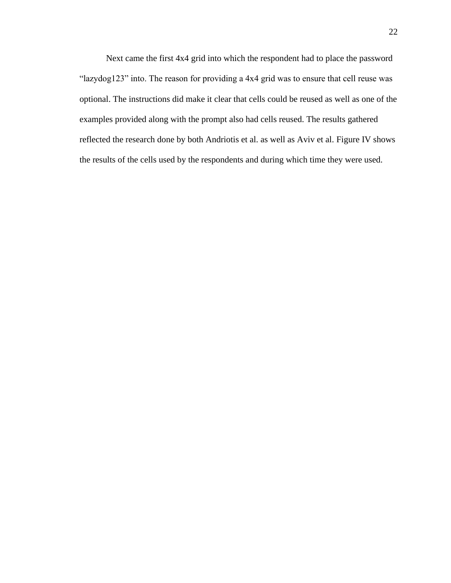Next came the first 4x4 grid into which the respondent had to place the password "lazydog123" into. The reason for providing a 4x4 grid was to ensure that cell reuse was optional. The instructions did make it clear that cells could be reused as well as one of the examples provided along with the prompt also had cells reused. The results gathered reflected the research done by both Andriotis et al. as well as Aviv et al. Figure IV shows the results of the cells used by the respondents and during which time they were used.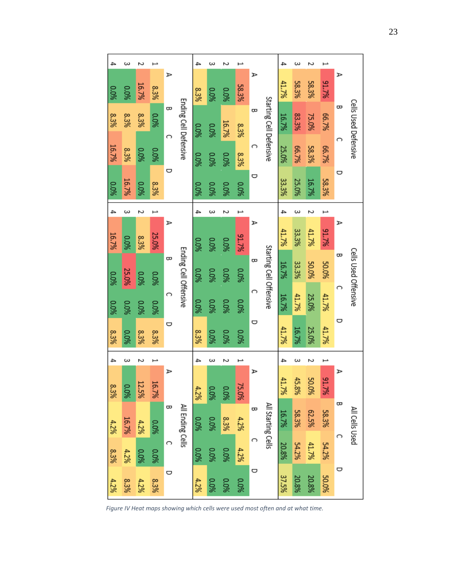|       |       |             |       |        |                       | 4           | ω           |             |       |          |                         | 4     | ω     |           |           |   |                      |
|-------|-------|-------------|-------|--------|-----------------------|-------------|-------------|-------------|-------|----------|-------------------------|-------|-------|-----------|-----------|---|----------------------|
| 0.0%  | 0.0%  | 16.7%       | 8.3%  | ⋗      |                       | 8.3%        | 0.0%        | 960'0       | 58.3% | ⋗        |                         | 41.7% | 58.3% | 58.3%     | 91.7%     | ⋗ |                      |
| 8.3%  | 8.3%  | 8.3%        | 0.0%  | æ<br>⌒ | Ending Cell Defensive | 0.0%        | 0.0%        | 16.7%       | 8.3%  | æ        | Starting Cell Defensive | 16.7% | 83.3% | 75.0%     | 66.7%     | ᆼ | Cells Used Defensive |
| 16.7% | 8.3%  | <b>0.0%</b> | 0.0%  |        |                       | 0.0%        | 0.0%        | 0.0%        | 8.3%  | ⌒        |                         | 25.0% | 66.7% | 58.3%     | 66.7%     | റ |                      |
| 0.0%  | 16.7% | 0.0%        | 8.3%  | O      |                       | 0.0%        | 0.0%        | 0.0%        | 0.0%  | o        |                         | 33.3% | 25.0% | 16.7%     | 58.3%     | O |                      |
| 4     | ω     | N           |       |        |                       | 4           | ω           |             |       |          |                         | 4     | ω     | N         |           |   |                      |
| 16.7% | 0.0%  | 8.3%        | 25.0% | ⋗      |                       | 0.0%        | 0.0%        | 960'0       | 91.7% | ⋗        |                         | 41.7% | 33.3% | 41.7%     | 91.7%     | ⋗ |                      |
| 960.0 | 25.0% | 0.0%        | 0.0%  | ᆼ      | Ending Cell Offensive | <b>0.0%</b> | <b>0.0%</b> | <b>0.0%</b> | 0.0%  | œ        | Starting Cell Offensive | 16.7% | 33.3% | 50.0%     | 50.0%     | æ | Cells Used Offensive |
| 0.0%  | 0.0%  | 960'0       | 0.0%  | C      |                       | <b>0.0%</b> | <b>0.0%</b> | 0.0%        | 960'0 | ⌒        |                         | 16.7% | 41.7% | 25.0%     | 41.7%     | ⌒ |                      |
| 8.3%  | 0.0%  | 8.3%        | 8.3%  | O      |                       | 8.3%        | <b>0.0%</b> | 0.0%        | 0.0%  | o        |                         | 41.7% | 16.7% | 25.0%     | 41.7%     | U |                      |
|       | ω     | N           |       |        |                       | 4           | ω           | N           |       |          |                         | 4     | ω     | N         |           |   |                      |
| 8.3%  | -0%   | 12.5%       | 16.7% | ⋗      |                       | 4.2%        | 0.0%        | 0.0%        | 75.0% | ⋗        |                         | 41.7% | 45.8% | SQ.<br>9% | 91.<br>7% | ⋗ |                      |
| 4.2%  | 16.7% | 4.2%        | %0°0  | æ      | All Ending Cells      | 0.0%        | 0.0%        | 8.3%        | 4.2%  | $\infty$ | All Starting Cells      | 16.7% | 58.3% | 62.5%     | 58.3%     | œ | All Cells Used       |
| 8.3%  | 4.2%  | 0.0%        | 0.0%  | C      |                       | 0.0%        | <b>0.0%</b> | 0.0%        | 4.2%  | റ        |                         | 20.8% | 54.2% | 41.7%     | 54.2%     | C |                      |
| 4.2%  | 8.3%  | 4.2%        | 8.3%  | O      |                       | 4.2%        | <b>0.0%</b> | 0.0%        | 0.0%  | U        |                         | 37.5% | 20.8% | 20.8%     | 50.0%     | U |                      |

*Figure IV Heat maps showing which cells were used most often and at what time.*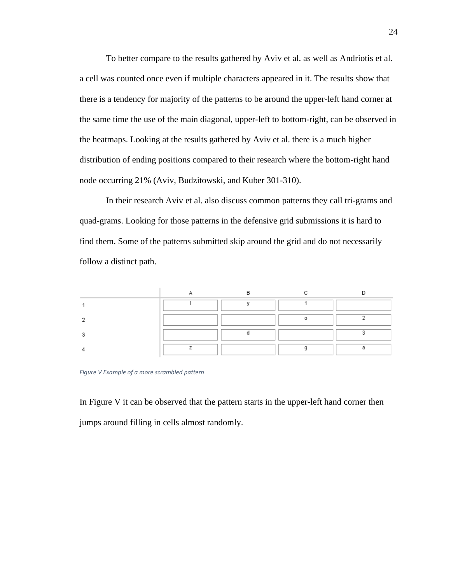To better compare to the results gathered by Aviv et al. as well as Andriotis et al. a cell was counted once even if multiple characters appeared in it. The results show that there is a tendency for majority of the patterns to be around the upper-left hand corner at the same time the use of the main diagonal, upper-left to bottom-right, can be observed in the heatmaps. Looking at the results gathered by Aviv et al. there is a much higher distribution of ending positions compared to their research where the bottom-right hand node occurring 21% (Aviv, Budzitowski, and Kuber 301-310).

In their research Aviv et al. also discuss common patterns they call tri-grams and quad-grams. Looking for those patterns in the defensive grid submissions it is hard to find them. Some of the patterns submitted skip around the grid and do not necessarily follow a distinct path.

<span id="page-30-0"></span>*Figure V Example of a more scrambled pattern*

In Figure V it can be observed that the pattern starts in the upper-left hand corner then jumps around filling in cells almost randomly.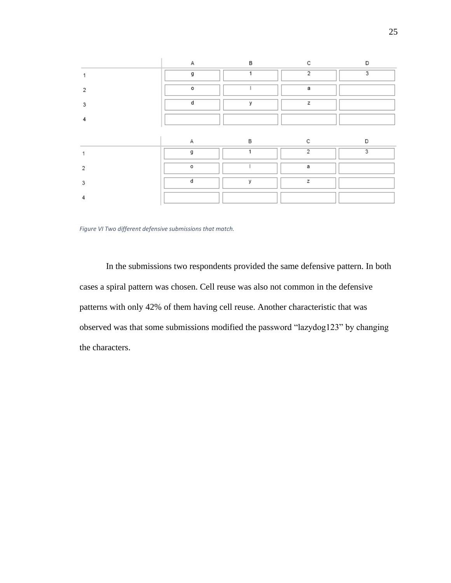|   | Δ        | в | r              | n |
|---|----------|---|----------------|---|
|   | q        |   | $\mathfrak{p}$ | 3 |
| ົ | $\Omega$ |   | а              |   |
| 3 | d        | v | z              |   |
|   |          |   |                |   |
|   |          |   |                |   |
|   | А        | в |                |   |
|   | g        |   | 2              | 3 |
|   |          |   |                |   |
| 2 | 0        |   | а              |   |
| 3 | d        | У | z              |   |

*Figure VI Two different defensive submissions that match.*

In the submissions two respondents provided the same defensive pattern. In both cases a spiral pattern was chosen. Cell reuse was also not common in the defensive patterns with only 42% of them having cell reuse. Another characteristic that was observed was that some submissions modified the password "lazydog123" by changing the characters.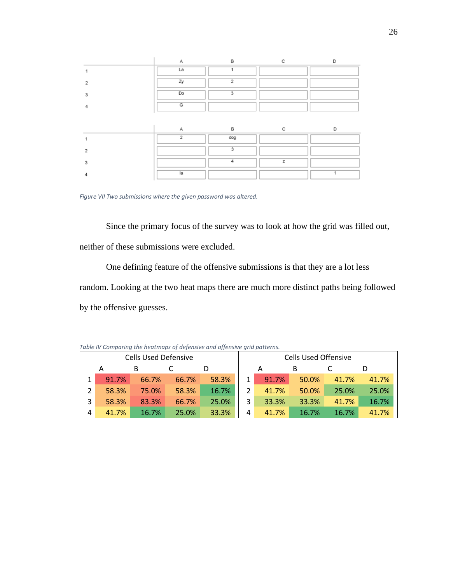|   |                | B              |   |  |
|---|----------------|----------------|---|--|
|   | La             |                |   |  |
|   | Zy             | $\overline{2}$ |   |  |
| з | Do             | 3              |   |  |
|   | G              |                |   |  |
|   |                |                |   |  |
|   |                |                |   |  |
|   |                | B              |   |  |
|   | $\overline{2}$ | dog            |   |  |
|   |                | 3              |   |  |
|   |                | Δ              | z |  |

<span id="page-32-1"></span>*Figure VII Two submissions where the given password was altered.*

Since the primary focus of the survey was to look at how the grid was filled out, neither of these submissions were excluded.

One defining feature of the offensive submissions is that they are a lot less random. Looking at the two heat maps there are much more distinct paths being followed by the offensive guesses.

| <b>Cells Used Defensive</b> |       |       |       |       |               |       | <b>Cells Used Offensive</b> |       |       |
|-----------------------------|-------|-------|-------|-------|---------------|-------|-----------------------------|-------|-------|
|                             | А     | в     |       |       |               | А     | в                           |       |       |
|                             | 91.7% | 66.7% | 66.7% | 58.3% | $\mathbf{1}$  | 91.7% | 50.0%                       | 41.7% | 41.7% |
|                             | 58.3% | 75.0% | 58.3% | 16.7% | $\mathcal{L}$ | 41.7% | 50.0%                       | 25.0% | 25.0% |
| 3                           | 58.3% | 83.3% | 66.7% | 25.0% | 3             | 33.3% | 33.3%                       | 41.7% | 16.7% |
| 4                           | 41.7% | 16.7% | 25.0% | 33.3% | 4             | 41.7% | 16.7%                       | 16.7% | 41.7% |

<span id="page-32-0"></span>*Table IV Comparing the heatmaps of defensive and offensive grid patterns.*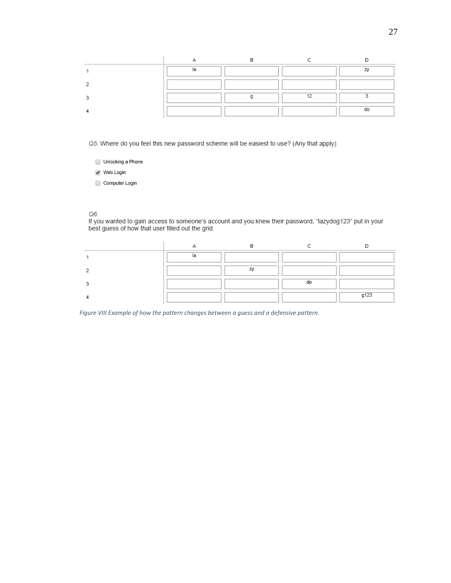Q5. Where do you feel this new password scheme will be easiest to use? (Any that apply)

- $\qquad \qquad \text{Unlocking a Phone}$
- ie Web Login
- Computer Login

#### Q6.

If you wanted to gain access to someone's account and you knew their password, "lazydog123" put in your best guess of how that user filled out the grid.

|  | do |                     |
|--|----|---------------------|
|  |    | 0.172<br>$\tilde{}$ |

*Figure VIII Example of how the pattern changes between a guess and a defensive pattern.*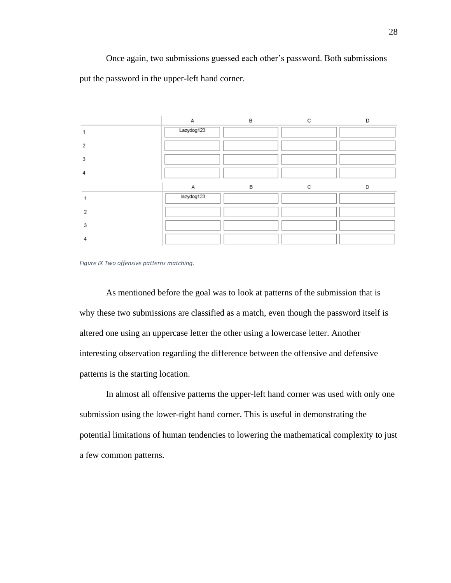Once again, two submissions guessed each other's password. Both submissions put the password in the upper-left hand corner.



<span id="page-34-0"></span>

As mentioned before the goal was to look at patterns of the submission that is why these two submissions are classified as a match, even though the password itself is altered one using an uppercase letter the other using a lowercase letter. Another interesting observation regarding the difference between the offensive and defensive patterns is the starting location.

In almost all offensive patterns the upper-left hand corner was used with only one submission using the lower-right hand corner. This is useful in demonstrating the potential limitations of human tendencies to lowering the mathematical complexity to just a few common patterns.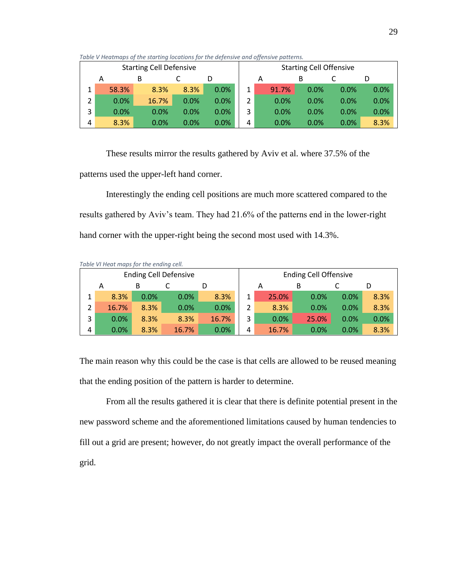|                                |   |       |       |      |                                |   | -- |       |      |         |      |
|--------------------------------|---|-------|-------|------|--------------------------------|---|----|-------|------|---------|------|
| <b>Starting Cell Defensive</b> |   |       |       |      | <b>Starting Cell Offensive</b> |   |    |       |      |         |      |
|                                | Α |       |       |      |                                |   | Α  |       | В    |         |      |
|                                |   | 58.3% | 8.3%  | 8.3% | 0.0%                           | 1 |    | 91.7% | 0.0% | 0.0%    | 0.0% |
| 2                              |   | 0.0%  | 16.7% | 0.0% | 0.0%                           |   |    | 0.0%  | 0.0% | 0.0%    | 0.0% |
| 3                              |   | 0.0%  | 0.0%  | 0.0% | 0.0%                           | 3 |    | 0.0%  | 0.0% | 0.0%    | 0.0% |
| 4                              |   | 8.3%  | 0.0%  | 0.0% | 0.0%                           | 4 |    | 0.0%  | 0.0% | $0.0\%$ | 8.3% |

<span id="page-35-0"></span>*Table V Heatmaps of the starting locations for the defensive and offensive patterns.*

These results mirror the results gathered by Aviv et al. where 37.5% of the patterns used the upper-left hand corner.

Interestingly the ending cell positions are much more scattered compared to the results gathered by Aviv's team. They had 21.6% of the patterns end in the lower-right hand corner with the upper-right being the second most used with 14.3%.

| Table VITTed thaps for the ending cent |       |      |       |       |                              |       |       |      |      |
|----------------------------------------|-------|------|-------|-------|------------------------------|-------|-------|------|------|
| <b>Ending Cell Defensive</b>           |       |      |       |       | <b>Ending Cell Offensive</b> |       |       |      |      |
|                                        | Α     | в    |       |       |                              | Α     | в     |      |      |
| 1                                      | 8.3%  | 0.0% | 0.0%  | 8.3%  | 1                            | 25.0% | 0.0%  | 0.0% | 8.3% |
| 2                                      | 16.7% | 8.3% | 0.0%  | 0.0%  | $\overline{2}$               | 8.3%  | 0.0%  | 0.0% | 8.3% |
| 3                                      | 0.0%  | 8.3% | 8.3%  | 16.7% | 3                            | 0.0%  | 25.0% | 0.0% | 0.0% |
| 4                                      | 0.0%  | 8.3% | 16.7% | 0.0%  | 4                            | 16.7% | 0.0%  | 0.0% | 8.3% |

<span id="page-35-1"></span>*Table VI Heat maps for the ending cell.*

The main reason why this could be the case is that cells are allowed to be reused meaning that the ending position of the pattern is harder to determine.

From all the results gathered it is clear that there is definite potential present in the new password scheme and the aforementioned limitations caused by human tendencies to fill out a grid are present; however, do not greatly impact the overall performance of the grid.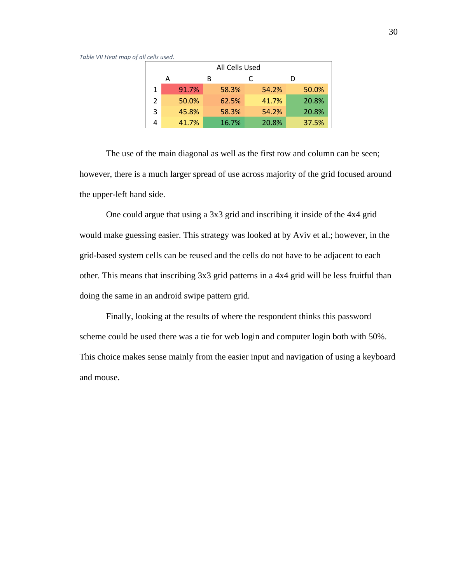#### <span id="page-36-0"></span>*Table VII Heat map of all cells used.*

| All Cells Used |       |   |       |       |       |  |  |  |  |
|----------------|-------|---|-------|-------|-------|--|--|--|--|
|                | A     | в |       |       | D     |  |  |  |  |
| 1              | 91.7% |   | 58.3% | 54.2% | 50.0% |  |  |  |  |
| $\mathcal{P}$  | 50.0% |   | 62.5% | 41.7% | 20.8% |  |  |  |  |
| 3              | 45.8% |   | 58.3% | 54.2% | 20.8% |  |  |  |  |
|                | 41.7% |   | 16.7% | 20.8% | 37.5% |  |  |  |  |

The use of the main diagonal as well as the first row and column can be seen; however, there is a much larger spread of use across majority of the grid focused around the upper-left hand side.

One could argue that using a 3x3 grid and inscribing it inside of the 4x4 grid would make guessing easier. This strategy was looked at by Aviv et al.; however, in the grid-based system cells can be reused and the cells do not have to be adjacent to each other. This means that inscribing 3x3 grid patterns in a 4x4 grid will be less fruitful than doing the same in an android swipe pattern grid.

Finally, looking at the results of where the respondent thinks this password scheme could be used there was a tie for web login and computer login both with 50%. This choice makes sense mainly from the easier input and navigation of using a keyboard and mouse.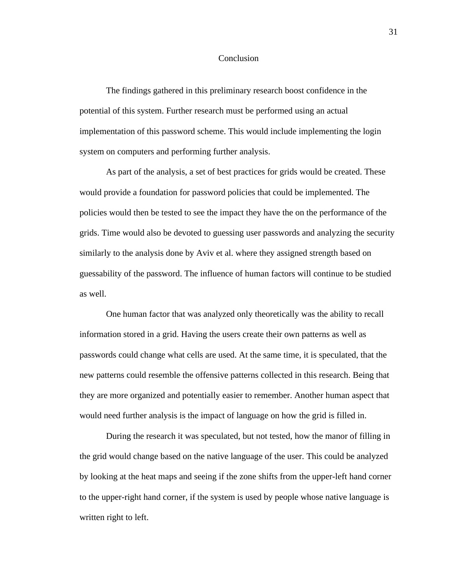#### Conclusion

<span id="page-37-0"></span>The findings gathered in this preliminary research boost confidence in the potential of this system. Further research must be performed using an actual implementation of this password scheme. This would include implementing the login system on computers and performing further analysis.

As part of the analysis, a set of best practices for grids would be created. These would provide a foundation for password policies that could be implemented. The policies would then be tested to see the impact they have the on the performance of the grids. Time would also be devoted to guessing user passwords and analyzing the security similarly to the analysis done by Aviv et al. where they assigned strength based on guessability of the password. The influence of human factors will continue to be studied as well.

One human factor that was analyzed only theoretically was the ability to recall information stored in a grid. Having the users create their own patterns as well as passwords could change what cells are used. At the same time, it is speculated, that the new patterns could resemble the offensive patterns collected in this research. Being that they are more organized and potentially easier to remember. Another human aspect that would need further analysis is the impact of language on how the grid is filled in.

During the research it was speculated, but not tested, how the manor of filling in the grid would change based on the native language of the user. This could be analyzed by looking at the heat maps and seeing if the zone shifts from the upper-left hand corner to the upper-right hand corner, if the system is used by people whose native language is written right to left.

31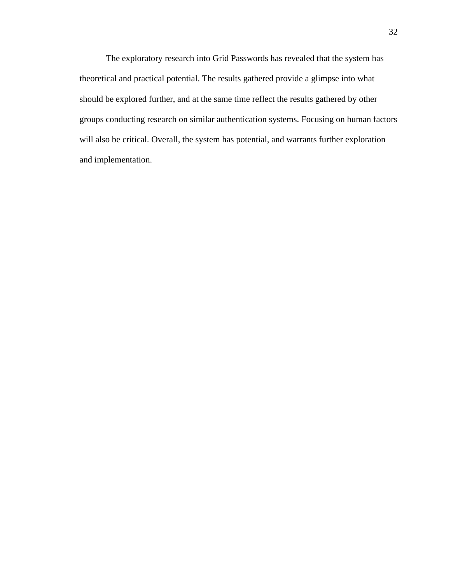The exploratory research into Grid Passwords has revealed that the system has theoretical and practical potential. The results gathered provide a glimpse into what should be explored further, and at the same time reflect the results gathered by other groups conducting research on similar authentication systems. Focusing on human factors will also be critical. Overall, the system has potential, and warrants further exploration and implementation.